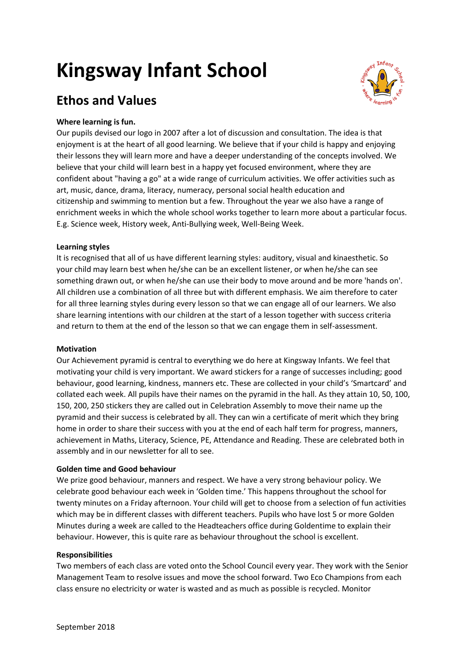# **Kingsway Infant School**



# **Ethos and Values**

## **Where learning is fun.**

Our pupils devised our logo in 2007 after a lot of discussion and consultation. The idea is that enjoyment is at the heart of all good learning. We believe that if your child is happy and enjoying their lessons they will learn more and have a deeper understanding of the concepts involved. We believe that your child will learn best in a happy yet focused environment, where they are confident about "having a go" at a wide range of curriculum activities. We offer activities such as art, music, dance, drama, literacy, numeracy, personal social health education and citizenship and swimming to mention but a few. Throughout the year we also have a range of enrichment weeks in which the whole school works together to learn more about a particular focus. E.g. Science week, History week, Anti-Bullying week, Well-Being Week.

#### **Learning styles**

It is recognised that all of us have different learning styles: auditory, visual and kinaesthetic. So your child may learn best when he/she can be an excellent listener, or when he/she can see something drawn out, or when he/she can use their body to move around and be more 'hands on'. All children use a combination of all three but with different emphasis. We aim therefore to cater for all three learning styles during every lesson so that we can engage all of our learners. We also share learning intentions with our children at the start of a lesson together with success criteria and return to them at the end of the lesson so that we can engage them in self-assessment.

#### **Motivation**

Our Achievement pyramid is central to everything we do here at Kingsway Infants. We feel that motivating your child is very important. We award stickers for a range of successes including; good behaviour, good learning, kindness, manners etc. These are collected in your child's 'Smartcard' and collated each week. All pupils have their names on the pyramid in the hall. As they attain 10, 50, 100, 150, 200, 250 stickers they are called out in Celebration Assembly to move their name up the pyramid and their success is celebrated by all. They can win a certificate of merit which they bring home in order to share their success with you at the end of each half term for progress, manners, achievement in Maths, Literacy, Science, PE, Attendance and Reading. These are celebrated both in assembly and in our newsletter for all to see.

#### **Golden time and Good behaviour**

We prize good behaviour, manners and respect. We have a very strong behaviour policy. We celebrate good behaviour each week in 'Golden time.' This happens throughout the school for twenty minutes on a Friday afternoon. Your child will get to choose from a selection of fun activities which may be in different classes with different teachers. Pupils who have lost 5 or more Golden Minutes during a week are called to the Headteachers office during Goldentime to explain their behaviour. However, this is quite rare as behaviour throughout the school is excellent.

#### **Responsibilities**

Two members of each class are voted onto the School Council every year. They work with the Senior Management Team to resolve issues and move the school forward. Two Eco Champions from each class ensure no electricity or water is wasted and as much as possible is recycled. Monitor